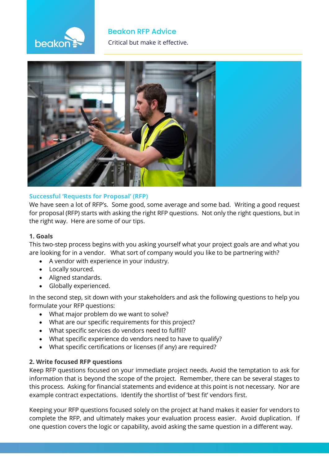# **beakor**

# **Beakon RFP Advice The Critical but make it effective.**



# **Successful 'Requests for Proposal' (RFP)**

We have seen a lot of RFP's. Some good, some average and some bad. Writing a good request for proposal (RFP) starts with asking the right RFP questions. Not only the right questions, but in the right way. Here are some of our tips.

## **1. Goals**

This two-step process begins with you asking yourself what your project goals are and what you are looking for in a vendor. What sort of company would you like to be partnering with?

- A vendor with experience in your industry.
- Locally sourced.
- Aligned standards.
- Globally experienced.

In the second step, sit down with your stakeholders and ask the following questions to help you formulate your RFP questions:

- What major problem do we want to solve?
- What are our specific requirements for this project?
- What specific services do vendors need to fulfill?
- What specific experience do vendors need to have to qualify?
- What specific certifications or licenses (if any) are required?

# **2. Write focused RFP questions**

Keep RFP questions focused on your immediate project needs. Avoid the temptation to ask for information that is beyond the scope of the project. Remember, there can be several stages to this process. Asking for financial statements and evidence at this point is not necessary. Nor are example contract expectations. Identify the shortlist of 'best fit' vendors first.

Keeping your RFP questions focused solely on the project at hand makes it easier for vendors to complete the RFP, and ultimately makes your evaluation process easier. Avoid duplication. If one question covers the logic or capability, avoid asking the same question in a different way.